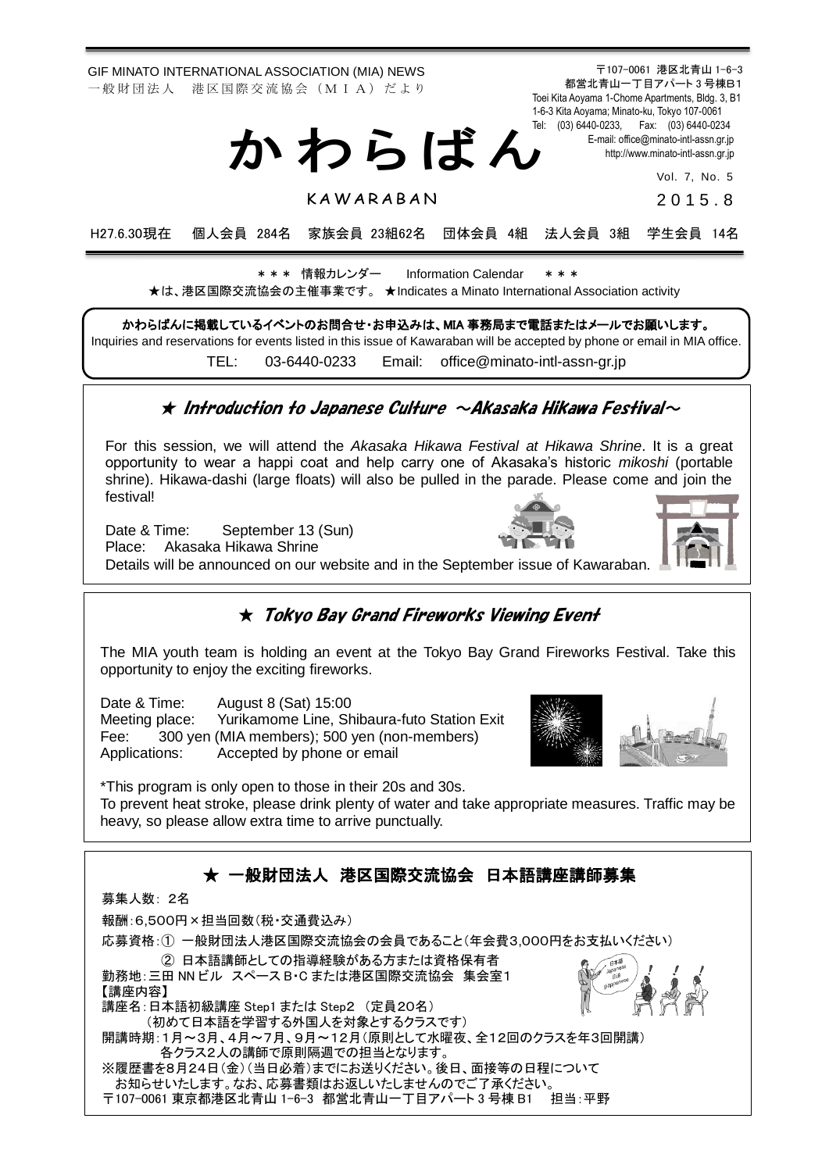GIF MINATO INTERNATIONAL ASSOCIATION (MIA) NEWS 一 般 財 団 法 人 港 区 国 際 交 流 協 会 (M I A) だ よ り

都営北青山一丁目アパート 3 号棟B1 Toei Kita Aoyama 1-Chome Apartments, Bldg. 3, B1 1-6-3 Kita Aoyama; Minato-ku, Tokyo 107-0061 Tel: (03) 6440-0233, Fax: (03) 6440-0234 E-mail[: office@minato-intl-assn.gr.jp](mailto:office@minato-intl-assn.gr.jp) [http://www.minato-intl-assn.gr.jp](http://www.minato-intl-assn.gr.jp/) か わ ら ば ん

Vol. 7, No. 5

**KAWARABAN** 

2 0 1 5 . 8

〒107-0061 港区北青山 1-6-3

H27.6.30現在 個人会員 284名 家族会員 23組62名 団体会員 4組 法人会員 3組 学生会員 14名

\* \* \* 情報カレンダー Information Calendar \* \* \* ★は、港区国際交流協会の主催事業です。 ★Indicates a Minato International Association activity

かわらばんに掲載しているイベントのお問合せ・お申込みは、MIA 事務局まで電話またはメールでお願いします。 Inquiries and reservations for events listed in this issue of Kawaraban will be accepted by phone or email in MIA office. TEL: [03-6440-0233](mailto:TEL:%0903-6440-0233) Email: [office@minato-intl-assn-gr.jp](mailto:office@minato-intl-assn-gr.jp)

#### $\star$  Introduction to Japanese Culture  $\sim$ AKasaKa HiKawa Festival $\sim$

For this session, we will attend the *Akasaka Hikawa Festival at Hikawa Shrine*. It is a great opportunity to wear a happi coat and help carry one of Akasaka's historic *mikoshi* (portable shrine). Hikawa-dashi (large floats) will also be pulled in the parade. Please come and join the festival!

Date & Time: September 13 (Sun)

Place: Akasaka Hikawa Shrine

Details will be announced on our website and in the September issue of Kawaraban.

### $\star$  Tokyo Bay Grand Fireworks Viewing Event

The MIA youth team is holding an event at the Tokyo Bay Grand Fireworks Festival. Take this opportunity to enjoy the exciting fireworks.

Date & Time: August 8 (Sat) 15:00 Meeting place: Yurikamome Line, Shibaura-futo Station Exit Fee: 300 yen (MIA members); 500 yen (non-members) Applications: Accepted by phone or email

\*This program is only open to those in their 20s and 30s.

To prevent heat stroke, please drink plenty of water and take appropriate measures. Traffic may be heavy, so please allow extra time to arrive punctually.



〒107-0061 東京都港区北青山 1-6-3 都営北青山一丁目アパート3 号棟 B1 担当:平野